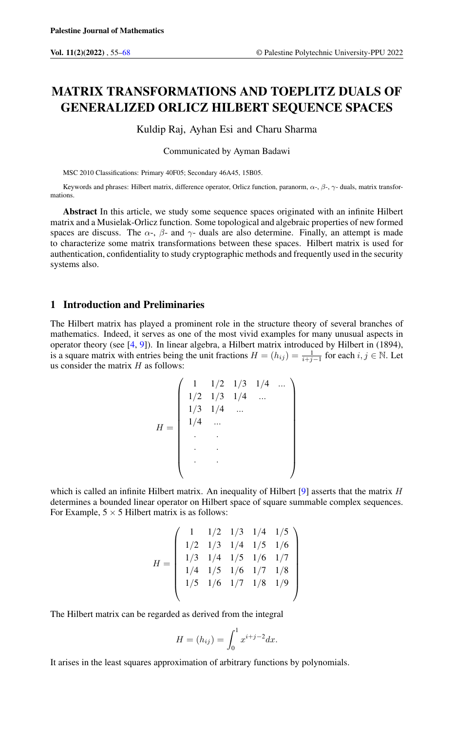# MATRIX TRANSFORMATIONS AND TOEPLITZ DUALS OF GENERALIZED ORLICZ HILBERT SEQUENCE SPACES

Kuldip Raj, Ayhan Esi and Charu Sharma

Communicated by Ayman Badawi

MSC 2010 Classifications: Primary 40F05; Secondary 46A45, 15B05.

Keywords and phrases: Hilbert matrix, difference operator, Orlicz function, paranorm,  $\alpha$ -,  $\beta$ -,  $\gamma$ - duals, matrix transformations.

Abstract In this article, we study some sequence spaces originated with an infinite Hilbert matrix and a Musielak-Orlicz function. Some topological and algebraic properties of new formed spaces are discuss. The  $\alpha$ -,  $\beta$ - and  $\gamma$ - duals are also determine. Finally, an attempt is made to characterize some matrix transformations between these spaces. Hilbert matrix is used for authentication, confidentiality to study cryptographic methods and frequently used in the security systems also.

# 1 Introduction and Preliminaries

The Hilbert matrix has played a prominent role in the structure theory of several branches of mathematics. Indeed, it serves as one of the most vivid examples for many unusual aspects in operator theory (see [\[4,](#page-12-1) [9\]](#page-12-2)). In linear algebra, a Hilbert matrix introduced by Hilbert in (1894), is a square matrix with entries being the unit fractions  $H = (h_{ij}) = \frac{1}{i+j-1}$  for each  $i, j \in \mathbb{N}$ . Let us consider the matrix  $H$  as follows:

$$
H = \begin{pmatrix} 1 & 1/2 & 1/3 & 1/4 & \dots \\ 1/2 & 1/3 & 1/4 & \dots \\ 1/3 & 1/4 & \dots \\ 1/4 & \dots \\ \vdots & \vdots & \vdots \\ 1 & \dots & \vdots \\ 1 & \dots & \vdots \\ 1 & \dots & \vdots \\ 1 & \dots & \vdots \\ 1 & \dots & \vdots \\ 1 & \dots & \vdots \\ 1 & \dots & \vdots \\ 1 & \dots & \vdots \\ 1 & \dots & \vdots \\ 1 & \dots & \vdots \\ 1 & \dots & \vdots \\ 1 & \dots & \vdots \\ 1 & \dots & \vdots \\ 1 & \dots & \vdots \\ 1 & \dots & \vdots \\ 1 & \dots & \vdots \\ 1 & \dots & \vdots \\ 1 & \dots & \vdots \\ 1 & \dots & \vdots \\ 1 & \dots & \vdots \\ 1 & \dots & \vdots \\ 1 & \dots & \vdots \\ 1 & \dots & \vdots \\ 1 & \dots & \vdots \\ 1 & \dots & \vdots \\ 1 & \dots & \vdots \\ 1 & \dots & \vdots \\ 1 & \dots & \vdots \\ 1 & \dots & \vdots \\ 1 & \dots & \vdots \\ 1 & \dots & \vdots \\ 1 & \dots & \vdots \\ 1 & \dots & \vdots \\ 1 & \dots & \vdots \\ 1 & \dots & \vdots \\ 1 & \dots & \vdots \\ 1 & \dots & \vdots \\ 1 & \dots & \vdots \\ 1 & \dots & \vdots \\ 1 & \dots & \vdots \\ 1 & \dots & \vdots \\ 1 & \dots & \vdots \\ 1 & \dots & \vdots \\ 1 & \dots & \vdots \\ 1 & \dots & \vdots \\ 1 & \dots & \vdots \\ 1 & \dots & \vdots \\ 1 & \dots & \vdots \\ 1 & \dots & \vdots \\ 1 & \dots & \vdots \\ 1 & \dots & \vdots \\ 1 & \dots & \vdots \\ 1 & \dots & \vdots \\ 1 & \dots & \vdots \\ 1 & \dots & \vdots \\ 1 & \dots & \vdots \\ 1 & \dots & \vdots \\ 1 & \dots & \vdots \\ 1 & \dots & \vdots \\ 1 & \dots & \vdots \\ 1 & \dots & \vdots \\ 1 & \dots & \vdots \\ 1 & \dots & \vdots \\ 1 & \dots & \vdots \\ 1 & \dots & \vdots \\ 1 & \dots & \vdots \\ 1 & \dots & \vdots \\ 1 & \dots & \vdots
$$

which is called an infinite Hilbert matrix. An inequality of Hilbert  $[9]$  asserts that the matrix  $H$ determines a bounded linear operator on Hilbert space of square summable complex sequences. For Example,  $5 \times 5$  Hilbert matrix is as follows:

$$
H = \left(\begin{array}{rrrrr} 1 & 1/2 & 1/3 & 1/4 & 1/5 \\ 1/2 & 1/3 & 1/4 & 1/5 & 1/6 \\ 1/3 & 1/4 & 1/5 & 1/6 & 1/7 \\ 1/4 & 1/5 & 1/6 & 1/7 & 1/8 \\ 1/5 & 1/6 & 1/7 & 1/8 & 1/9 \end{array}\right)
$$

The Hilbert matrix can be regarded as derived from the integral

$$
H = (h_{ij}) = \int_0^1 x^{i+j-2} dx.
$$

It arises in the least squares approximation of arbitrary functions by polynomials.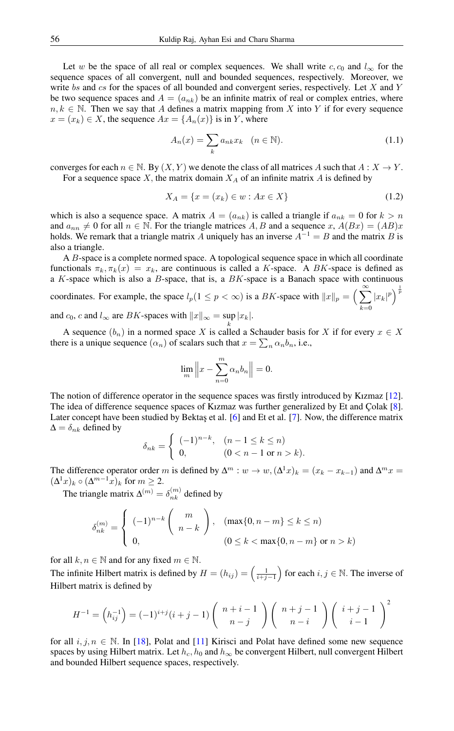Let w be the space of all real or complex sequences. We shall write c,  $c_0$  and  $l_{\infty}$  for the sequence spaces of all convergent, null and bounded sequences, respectively. Moreover, we write bs and cs for the spaces of all bounded and convergent series, respectively. Let  $X$  and  $Y$ be two sequence spaces and  $A = (a_{nk})$  be an infinite matrix of real or complex entries, where  $n, k \in \mathbb{N}$ . Then we say that A defines a matrix mapping from X into Y if for every sequence  $x = (x_k) \in X$ , the sequence  $Ax = \{A_n(x)\}\$ is in Y, where

$$
A_n(x) = \sum_k a_{nk} x_k \quad (n \in \mathbb{N}).
$$
\n(1.1)

converges for each  $n \in \mathbb{N}$ . By  $(X, Y)$  we denote the class of all matrices A such that  $A: X \to Y$ . For a sequence space  $X$ , the matrix domain  $X_A$  of an infinite matrix  $A$  is defined by

$$
X_A = \{x = (x_k) \in w : Ax \in X\}
$$
\n(1.2)

which is also a sequence space. A matrix  $A = (a_{nk})$  is called a triangle if  $a_{nk} = 0$  for  $k > n$ and  $a_{nn} \neq 0$  for all  $n \in \mathbb{N}$ . For the triangle matrices A, B and a sequence x,  $A(Bx) = (AB)x$ holds. We remark that a triangle matrix A uniquely has an inverse  $A^{-1} = B$  and the matrix B is also a triangle.

A B-space is a complete normed space. A topological sequence space in which all coordinate functionals  $\pi_k, \pi_k(x) = x_k$ , are continuous is called a K-space. A BK-space is defined as a K-space which is also a  $B$ -space, that is, a  $BK$ -space is a Banach space with continuous coordinates. For example, the space  $l_p(1 \leq p < \infty)$  is a BK-space with  $||x||_p = \left(\sum_{n=1}^{\infty} \frac{1}{n}\right)^{1/p}$  $k=0$  $|x_k|^p\Big)^{\frac{1}{p}}$ and  $c_0$ , c and  $l_{\infty}$  are BK-spaces with  $||x||_{\infty} = \sup |x_k|$ .

A sequence  $(b_n)$  in a normed space X is called a Schauder basis for X if for every  $x \in X$ there is a unique sequence  $(\alpha_n)$  of scalars such that  $x = \sum_n \alpha_n b_n$ , i.e.,

$$
\lim_{m} \|x - \sum_{n=0}^{m} \alpha_n b_n\| = 0.
$$

The notion of difference operator in the sequence spaces was firstly introduced by Kızmaz [\[12\]](#page-13-0). The idea of difference sequence spaces of Kızmaz was further generalized by Et and Çolak [\[8\]](#page-12-3). Later concept have been studied by Bektaş et al. [\[6\]](#page-12-4) and Et et al. [\[7\]](#page-12-5). Now, the difference matrix  $\Delta = \delta_{nk}$  defined by

$$
\delta_{nk} = \begin{cases}\n(-1)^{n-k}, & (n-1 \le k \le n) \\
0, & (0 < n-1 \text{ or } n > k).\n\end{cases}
$$

The difference operator order m is defined by  $\Delta^m$  :  $w \to w$ ,  $(\Delta^1 x)_k = (x_k - x_{k-1})$  and  $\Delta^m x =$  $(\Delta^1 x)_k \circ (\Delta^{m-1} x)_k$  for  $m \geq 2$ .

The triangle matrix  $\Delta^{(m)} = \delta_{nk}^{(m)}$  defined by

$$
\delta_{nk}^{(m)} = \begin{cases}\n(-1)^{n-k} \binom{m}{n-k}, & (\max\{0, n-m\} \le k \le n) \\
0, & (0 \le k < \max\{0, n-m\} \text{ or } n > k)\n\end{cases}
$$

for all  $k, n \in \mathbb{N}$  and for any fixed  $m \in \mathbb{N}$ .

The infinite Hilbert matrix is defined by  $H = (h_{ij}) = \left(\frac{1}{i+j-1}\right)$  for each  $i, j \in \mathbb{N}$ . The inverse of Hilbert matrix is defined by

$$
H^{-1} = \left(h_{ij}^{-1}\right) = (-1)^{i+j}(i+j-1)\left(\begin{array}{c}n+i-1\\n-j\end{array}\right)\left(\begin{array}{c}n+j-1\\n-i\end{array}\right)\left(\begin{array}{c}i+j-1\\i-1\end{array}\right)^2
$$

for all  $i, j, n \in \mathbb{N}$ . In [\[18\]](#page-13-1), Polat and [\[11\]](#page-13-2) Kirisci and Polat have defined some new sequence spaces by using Hilbert matrix. Let  $h_c$ ,  $h_0$  and  $h_{\infty}$  be convergent Hilbert, null convergent Hilbert and bounded Hilbert sequence spaces, respectively.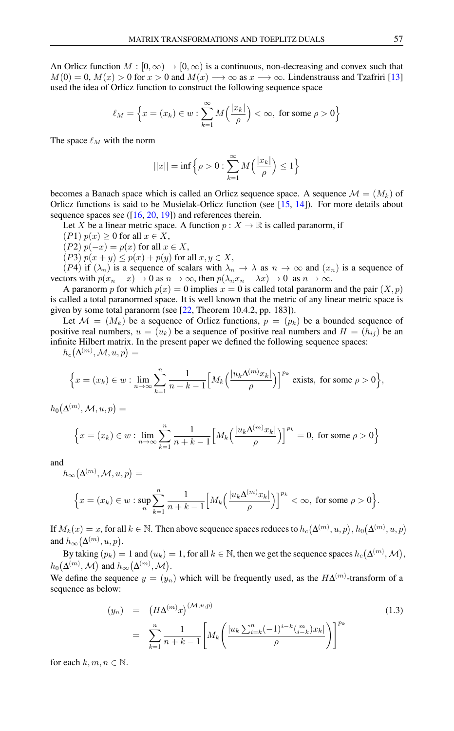An Orlicz function  $M : [0, \infty) \to [0, \infty)$  is a continuous, non-decreasing and convex such that  $M(0) = 0$ ,  $M(x) > 0$  for  $x > 0$  and  $M(x) \longrightarrow \infty$  as  $x \longrightarrow \infty$ . Lindenstrauss and Tzafriri [\[13\]](#page-13-3) used the idea of Orlicz function to construct the following sequence space

$$
\ell_M = \left\{ x = (x_k) \in w : \sum_{k=1}^{\infty} M\left(\frac{|x_k|}{\rho}\right) < \infty, \text{ for some } \rho > 0 \right\}
$$

The space  $\ell_M$  with the norm

$$
||x|| = \inf \left\{ \rho > 0 : \sum_{k=1}^{\infty} M\left(\frac{|x_k|}{\rho}\right) \le 1 \right\}
$$

becomes a Banach space which is called an Orlicz sequence space. A sequence  $\mathcal{M} = (M_k)$  of Orlicz functions is said to be Musielak-Orlicz function (see [\[15,](#page-13-4) [14\]](#page-13-5)). For more details about sequence spaces see  $([16, 20, 19])$  $([16, 20, 19])$  $([16, 20, 19])$  $([16, 20, 19])$  $([16, 20, 19])$  $([16, 20, 19])$  $([16, 20, 19])$  and references therein.

Let X be a linear metric space. A function  $p: X \to \mathbb{R}$  is called paranorm, if

- (P1)  $p(x) \ge 0$  for all  $x \in X$ ,
- (P2)  $p(-x) = p(x)$  for all  $x \in X$ ,

(*P3*)  $p(x + y) \leq p(x) + p(y)$  for all  $x, y \in X$ ,

(P4) if  $(\lambda_n)$  is a sequence of scalars with  $\lambda_n \to \lambda$  as  $n \to \infty$  and  $(x_n)$  is a sequence of vectors with  $p(x_n - x) \to 0$  as  $n \to \infty$ , then  $p(\lambda_n x_n - \lambda x) \to 0$  as  $n \to \infty$ .

A paranorm p for which  $p(x) = 0$  implies  $x = 0$  is called total paranorm and the pair  $(X, p)$ is called a total paranormed space. It is well known that the metric of any linear metric space is given by some total paranorm (see [\[22,](#page-13-9) Theorem 10.4.2, pp. 183]).

Let  $\mathcal{M} = (M_k)$  be a sequence of Orlicz functions,  $p = (p_k)$  be a bounded sequence of positive real numbers,  $u = (u_k)$  be a sequence of positive real numbers and  $H = (h_{ij})$  be an infinite Hilbert matrix. In the present paper we defined the following sequence spaces:  $h_c\big(\Delta^{(m)},\mathcal{M},u,p\big)=$ 

$$
\Big\{x=(x_k)\in w:\lim_{n\to\infty}\sum_{k=1}^n\frac{1}{n+k-1}\Big[M_k\Big(\frac{|u_k\Delta^{(m)}x_k|}{\rho}\Big)\Big]^{p_k}\text{ exists, for some }\rho>0\Big\},\
$$

 $h_0\big(\Delta^{(m)},\mathcal{M},u,p\big)=$ 

$$
\left\{x = (x_k) \in w : \lim_{n \to \infty} \sum_{k=1}^n \frac{1}{n+k-1} \Big[M_k\Big(\frac{|u_k \Delta^{(m)} x_k|}{\rho}\Big)\Big]^{p_k} = 0, \text{ for some } \rho > 0\right\}
$$

and

$$
h_{\infty}(\Delta^{(m)}, \mathcal{M}, u, p) =
$$
  

$$
\Big\{x = (x_k) \in w : \sup_{n} \sum_{k=1}^{n} \frac{1}{n+k-1} \Big[M_k\Big(\frac{|u_k \Delta^{(m)} x_k|}{\rho}\Big)\Big]^{p_k} < \infty, \text{ for some } \rho > 0\Big\}.
$$

If  $M_k(x) = x$ , for all  $k \in \mathbb{N}$ . Then above sequence spaces reduces to  $h_c(\Delta^{(m)}, u, p), h_0(\Delta^{(m)}, u, p)$ and  $h_{\infty}(\Delta^{(m)}, u, p)$ .

By taking  $(p_k) = 1$  and  $(u_k) = 1$ , for all  $k \in \mathbb{N}$ , then we get the sequence spaces  $h_c(\Delta^{(m)}, \mathcal{M})$ ,  $h_0(\Delta^{(m)},\mathcal{M})$  and  $h_{\infty}(\Delta^{(m)},\mathcal{M})$ .

We define the sequence  $y = (y_n)$  which will be frequently used, as the  $H\Delta^{(m)}$ -transform of a sequence as below:

$$
(y_n) = (H\Delta^{(m)}x)^{(\mathcal{M},u,p)} = \sum_{k=1}^n \frac{1}{n+k-1} \Bigg[ M_k \Bigg( \frac{|u_k \sum_{i=k}^n (-1)^{i-k} \binom{m}{i-k} x_k|}{\rho} \Bigg) \Bigg]^{p_k}
$$
(1.3)

for each  $k, m, n \in \mathbb{N}$ .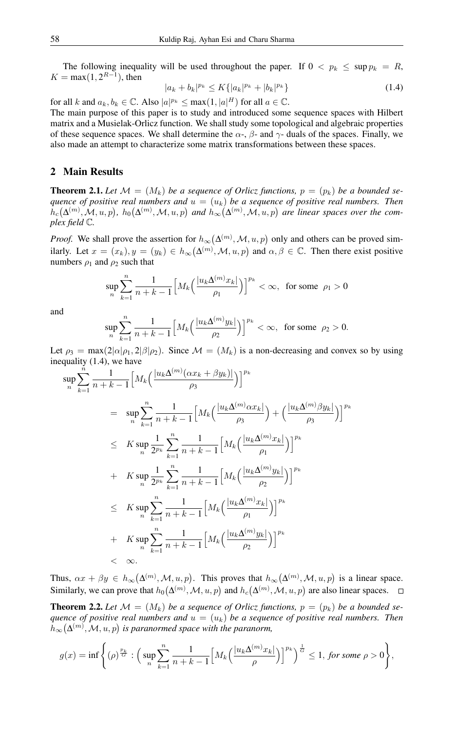The following inequality will be used throughout the paper. If  $0 < p_k \leq \sup p_k = R$ ,  $K = \max(1, 2^{R-1})$ , then

$$
|a_k + b_k|^{p_k} \le K\{|a_k|^{p_k} + |b_k|^{p_k}\}\tag{1.4}
$$

for all k and  $a_k, b_k \in \mathbb{C}$ . Also  $|a|^{p_k} \le \max(1, |a|^H)$  for all  $a \in \mathbb{C}$ .

The main purpose of this paper is to study and introduced some sequence spaces with Hilbert matrix and a Musielak-Orlicz function. We shall study some topological and algebraic properties of these sequence spaces. We shall determine the  $\alpha$ -,  $\beta$ - and  $\gamma$ - duals of the spaces. Finally, we also made an attempt to characterize some matrix transformations between these spaces.

### 2 Main Results

**Theorem 2.1.** Let  $\mathcal{M} = (M_k)$  be a sequence of Orlicz functions,  $p = (p_k)$  be a bounded se*quence of positive real numbers and*  $u = (u_k)$  *be a sequence of positive real numbers. Then*  $h_c(\Delta^{(m)}, M, u, p)$ ,  $h_0(\Delta^{(m)}, M, u, p)$  and  $h_{\infty}(\Delta^{(m)}, M, u, p)$  are linear spaces over the com*plex field* C*.*

*Proof.* We shall prove the assertion for  $h_{\infty}(\Delta^{(m)}, M, u, p)$  only and others can be proved similarly. Let  $x = (x_k), y = (y_k) \in h_{\infty}(\Delta^{(m)}, M, u, p)$  and  $\alpha, \beta \in \mathbb{C}$ . Then there exist positive numbers  $\rho_1$  and  $\rho_2$  such that

$$
\sup_{n}\sum_{k=1}^{n}\frac{1}{n+k-1}\Big[M_k\Big(\frac{|u_k\Delta^{(m)}x_k|}{\rho_1}\Big)\Big]^{p_k} < \infty, \text{ for some } \rho_1 > 0
$$

and

$$
\sup_n \sum_{k=1}^n \frac{1}{n+k-1}\Big[M_k\Big(\frac{|u_k\Delta^{(m)}y_k|}{\rho_2}\Big)\Big]^{p_k}<\infty, \ \ \text{for some}\ \ \rho_2>0.
$$

Let  $\rho_3 = \max(2|\alpha|\rho_1, 2|\beta|\rho_2)$ . Since  $\mathcal{M} = (M_k)$  is a non-decreasing and convex so by using inequality (1.4), we have

$$
\sup_{n} \sum_{k=1}^{n} \frac{1}{n+k-1} \Big[ M_{k} \Big( \frac{|u_{k} \Delta^{(m)}(\alpha x_{k} + \beta y_{k})|}{\rho_{3}} \Big) \Big]^{p_{k}}
$$
\n
$$
= \sup_{n} \sum_{k=1}^{n} \frac{1}{n+k-1} \Big[ M_{k} \Big( \frac{|u_{k} \Delta^{(m)} \alpha x_{k}|}{\rho_{3}} \Big) + \Big( \frac{|u_{k} \Delta^{(m)} \beta y_{k}|}{\rho_{3}} \Big) \Big]^{p_{k}}
$$
\n
$$
\leq K \sup_{n} \frac{1}{2^{p_{k}}} \sum_{k=1}^{n} \frac{1}{n+k-1} \Big[ M_{k} \Big( \frac{|u_{k} \Delta^{(m)} x_{k}|}{\rho_{1}} \Big) \Big]^{p_{k}}
$$
\n
$$
+ K \sup_{n} \frac{1}{2^{p_{k}}} \sum_{k=1}^{n} \frac{1}{n+k-1} \Big[ M_{k} \Big( \frac{|u_{k} \Delta^{(m)} y_{k}|}{\rho_{2}} \Big) \Big]^{p_{k}}
$$
\n
$$
\leq K \sup_{n} \sum_{k=1}^{n} \frac{1}{n+k-1} \Big[ M_{k} \Big( \frac{|u_{k} \Delta^{(m)} x_{k}|}{\rho_{1}} \Big) \Big]^{p_{k}}
$$
\n
$$
+ K \sup_{n} \sum_{k=1}^{n} \frac{1}{n+k-1} \Big[ M_{k} \Big( \frac{|u_{k} \Delta^{(m)} y_{k}|}{\rho_{2}} \Big) \Big]^{p_{k}}
$$
\n
$$
< \infty.
$$

Thus,  $\alpha x + \beta y \in h_{\infty}(\Delta^{(m)}, \mathcal{M}, u, p)$ . This proves that  $h_{\infty}(\Delta^{(m)}, \mathcal{M}, u, p)$  is a linear space. Similarly, we can prove that  $h_0(\Delta^{(m)}, \mathcal{M}, u, p)$  and  $h_c(\Delta^{(m)}, \mathcal{M}, u, p)$  are also linear spaces.

**Theorem 2.2.** Let  $\mathcal{M} = (M_k)$  be a sequence of Orlicz functions,  $p = (p_k)$  be a bounded se*quence of positive real numbers and*  $u = (u_k)$  *be a sequence of positive real numbers. Then*  $h_{\infty}(\Delta^{(m)},\mathcal{M}, u, p)$  is paranormed space with the paranorm,

$$
g(x)=\inf\Bigg\{(\rho)^{\frac{p_k}{G}}:\Big(\sup_n\sum_{k=1}^n\frac{1}{n+k-1}\Big[M_k\Big(\frac{|u_k\Delta^{(m)}x_k|}{\rho}\Big)\Big]^{p_k}\Big)^{\frac{1}{G}}\leq 1,\ \textit{for some}\ \rho>0\Bigg\},
$$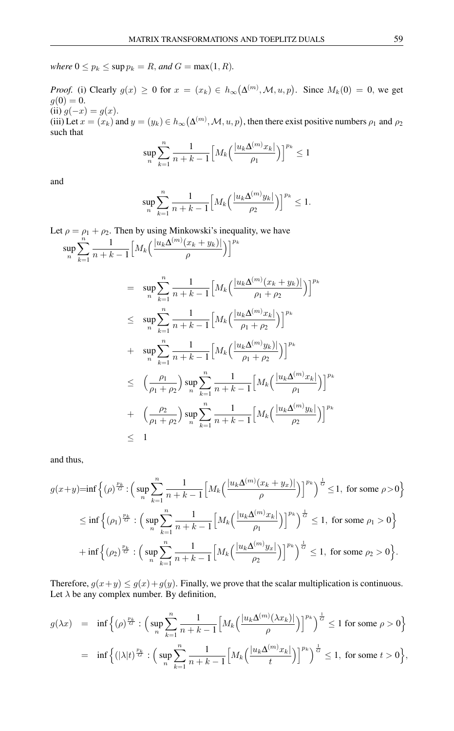*where*  $0 \leq p_k \leq \sup p_k = R$ *, and*  $G = \max(1, R)$ *.* 

*Proof.* (i) Clearly  $g(x) \ge 0$  for  $x = (x_k) \in h_{\infty}(\Delta^{(m)}, \mathcal{M}, u, p)$ . Since  $M_k(0) = 0$ , we get  $g(0) = 0.$ (ii)  $g(-x) = g(x)$ . (iii) Let  $x = (x_k)$  and  $y = (y_k) \in h_\infty(\Delta^{(m)}, \mathcal{M}, u, p)$ , then there exist positive numbers  $\rho_1$  and  $\rho_2$ such that

$$
\sup_{n}\sum_{k=1}^{n}\frac{1}{n+k-1}\Big[M_k\Big(\frac{|u_k\Delta^{(m)}x_k|}{\rho_1}\Big)\Big]^{p_k}\leq 1
$$

and

$$
\sup_{n}\sum_{k=1}^{n}\frac{1}{n+k-1}\Big[M_k\Big(\frac{|u_k\Delta^{(m)}y_k|}{\rho_2}\Big)\Big]^{p_k}\leq 1.
$$

Let 
$$
\rho = \rho_1 + \rho_2
$$
. Then by using Minkowski's inequality, we have  
\n
$$
\sup_n \sum_{k=1}^n \frac{1}{n+k-1} \Big[ M_k \Big( \frac{|u_k \Delta^{(m)}(x_k + y_k)|}{\rho} \Big) \Big]^{p_k}
$$
\n
$$
= \sup_n \sum_{k=1}^n \frac{1}{n+k-1} \Big[ M_k \Big( \frac{|u_k \Delta^{(m)}(x_k + y_k)|}{\rho_1 + \rho_2} \Big) \Big]^{p_k}
$$
\n
$$
\leq \sup_n \sum_{k=1}^n \frac{1}{n+k-1} \Big[ M_k \Big( \frac{|u_k \Delta^{(m)} x_k|}{\rho_1 + \rho_2} \Big) \Big]^{p_k}
$$
\n
$$
+ \sup_n \sum_{k=1}^n \frac{1}{n+k-1} \Big[ M_k \Big( \frac{|u_k \Delta^{(m)} y_k|}{\rho_1 + \rho_2} \Big) \Big]^{p_k}
$$
\n
$$
\leq \Big( \frac{\rho_1}{\rho_1 + \rho_2} \Big) \sup_n \sum_{k=1}^n \frac{1}{n+k-1} \Big[ M_k \Big( \frac{|u_k \Delta^{(m)} x_k|}{\rho_1} \Big) \Big]^{p_k}
$$
\n
$$
+ \Big( \frac{\rho_2}{\rho_1 + \rho_2} \Big) \sup_n \sum_{k=1}^n \frac{1}{n+k-1} \Big[ M_k \Big( \frac{|u_k \Delta^{(m)} y_k|}{\rho_2} \Big) \Big]^{p_k}
$$
\n
$$
\leq 1
$$

and thus,

$$
g(x+y)=\inf\left\{(\rho)^{\frac{p_k}{G}}\colon \Big(\sup_n\sum_{k=1}^n\frac{1}{n+k-1}\Big[M_k\Big(\frac{|u_k\Delta^{(m)}(x_k+y_x)|}{\rho}\Big)\Big]^{p_k}\Big)^{\frac{1}{G}}\leq 1,\text{ for some }\rho>0\right\}
$$
  

$$
\leq \inf\left\{(\rho_1)^{\frac{p_k}{G}}\colon \Big(\sup_n\sum_{k=1}^n\frac{1}{n+k-1}\Big[M_k\Big(\frac{|u_k\Delta^{(m)}x_k|}{\rho_1}\Big)\Big]^{p_k}\Big)^{\frac{1}{G}}\leq 1,\text{ for some }\rho_1>0\right\}
$$
  

$$
+\inf\left\{(\rho_2)^{\frac{p_k}{G}}\colon \Big(\sup_n\sum_{k=1}^n\frac{1}{n+k-1}\Big[M_k\Big(\frac{|u_k\Delta^{(m)}y_x|}{\rho_2}\Big)\Big]^{p_k}\Big)^{\frac{1}{G}}\leq 1,\text{ for some }\rho_2>0\right\}.
$$

Therefore,  $g(x+y) \le g(x) + g(y)$ . Finally, we prove that the scalar multiplication is continuous. Let  $\lambda$  be any complex number. By definition,

$$
g(\lambda x) = \inf \left\{ (\rho)^{\frac{p_k}{G}} : \Big( \sup_n \sum_{k=1}^n \frac{1}{n+k-1} \Big[ M_k \Big( \frac{|u_k \Delta^{(m)}(\lambda x_k)|}{\rho} \Big) \Big]^{p_k} \Big)^{\frac{1}{G}} \le 1 \text{ for some } \rho > 0 \right\}
$$
  
= 
$$
\inf \Big\{ (|\lambda|t)^{\frac{p_k}{G}} : \Big( \sup_n \sum_{k=1}^n \frac{1}{n+k-1} \Big[ M_k \Big( \frac{|u_k \Delta^{(m)} x_k|}{t} \Big) \Big]^{p_k} \Big)^{\frac{1}{G}} \le 1, \text{ for some } t > 0 \Big\},
$$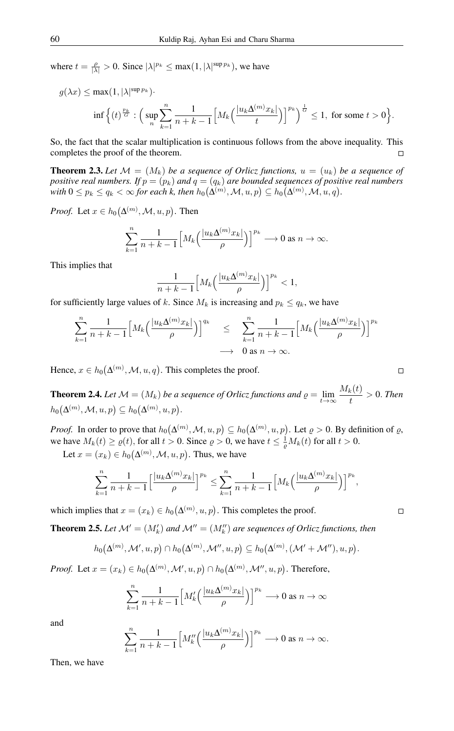where  $t = \frac{\rho}{|\lambda|} > 0$ . Since  $|\lambda|^{p_k} \le \max(1, |\lambda|^{\sup p_k})$ , we have

$$
\begin{aligned} g(\lambda x) &\leq \max(1,|\lambda|^{\sup p_k}).\\ &\inf\left\{(t)^{\frac{p_k}{G}}:\Big(\sup_n\sum_{k=1}^n\frac{1}{n+k-1}\Big[M_k\Big(\frac{|u_k\Delta^{(m)}x_k|}{t}\Big)\Big]^{p_k}\Big)^{\frac{1}{G}}\leq 1,\ \text{for some}\ t>0\right\}.\end{aligned}
$$

So, the fact that the scalar multiplication is continuous follows from the above inequality. This completes the proof of the theorem.  $\Box$ 

**Theorem 2.3.** Let  $\mathcal{M} = (M_k)$  be a sequence of Orlicz functions,  $u = (u_k)$  be a sequence of *positive real numbers. If*  $p = (p_k)$  *and*  $q = (q_k)$  *are bounded sequences of positive real numbers* with  $0\leq p_k\leq q_k<\infty$  for each  $k$ , then  $h_0\big(\Delta^{(m)},\mathcal{M},u,p\big)\subseteq h_0\big(\Delta^{(m)},\mathcal{M},u,q\big).$ 

*Proof.* Let  $x \in h_0(\Delta^{(m)}, M, u, p)$ . Then

$$
\sum_{k=1}^{n} \frac{1}{n+k-1} \Big[ M_k \Big( \frac{|u_k \Delta^{(m)} x_k|}{\rho} \Big) \Big]^{p_k} \longrightarrow 0 \text{ as } n \to \infty.
$$

This implies that

$$
\frac{1}{n+k-1}\Big[M_k\Big(\frac{|u_k\Delta^{(m)}x_k|}{\rho}\Big)\Big]^{p_k} < 1,
$$

for sufficiently large values of k. Since  $M_k$  is increasing and  $p_k \le q_k$ , we have

$$
\sum_{k=1}^{n} \frac{1}{n+k-1} \Big[ M_k \Big( \frac{|u_k \Delta^{(m)} x_k|}{\rho} \Big) \Big]^{q_k} \leq \sum_{k=1}^{n} \frac{1}{n+k-1} \Big[ M_k \Big( \frac{|u_k \Delta^{(m)} x_k|}{\rho} \Big) \Big]^{p_k}
$$
  

$$
\longrightarrow 0 \text{ as } n \to \infty.
$$

Hence,  $x \in h_0(\Delta^{(m)}, \mathcal{M}, u, q)$ . This completes the proof.

**Theorem 2.4.** Let  $\mathcal{M} = (M_k)$  be a sequence of Orlicz functions and  $\varrho = \lim_{t \to \infty} \frac{M_k(t)}{t}$  $\frac{k(v)}{t} > 0$ . *Then*  $h_0\big(\Delta^{(m)},\mathcal{M},u,p\big)\subseteq h_0\big(\Delta^{(m)},u,p\big).$ 

*Proof.* In order to prove that  $h_0(\Delta^{(m)}, \mathcal{M}, u, p) \subseteq h_0(\Delta^{(m)}, u, p)$ . Let  $\varrho > 0$ . By definition of  $\varrho$ , we have  $M_k(t) \ge \varrho(t)$ , for all  $t > 0$ . Since  $\varrho > 0$ , we have  $t \le \frac{1}{\varrho} M_k(t)$  for all  $t > 0$ .

Let  $x = (x_k) \in h_0(\Delta^{(m)}, \mathcal{M}, u, p)$ . Thus, we have

$$
\sum_{k=1}^{n} \frac{1}{n+k-1} \Big[ \frac{|u_k \Delta^{(m)} x_k|}{\rho} \Big]^{p_k} \leq \sum_{k=1}^{n} \frac{1}{n+k-1} \Big[ M_k \Big( \frac{|u_k \Delta^{(m)} x_k|}{\rho} \Big) \Big]^{p_k},
$$

which implies that  $x = (x_k) \in h_0(\Delta^{(m)}, u, p)$ . This completes the proof.

**Theorem 2.5.** Let  $\mathcal{M}' = (M'_k)$  and  $\mathcal{M}'' = (M''_k)$  are sequences of Orlicz functions, then

$$
h_0(\Delta^{(m)}, \mathcal{M}', u, p) \cap h_0(\Delta^{(m)}, \mathcal{M}'', u, p) \subseteq h_0(\Delta^{(m)}, (\mathcal{M}' + \mathcal{M}''), u, p).
$$

*Proof.* Let  $x = (x_k) \in h_0(\Delta^{(m)}, \mathcal{M}', u, p) \cap h_0(\Delta^{(m)}, \mathcal{M}'', u, p)$ . Therefore,

$$
\sum_{k=1}^{n} \frac{1}{n+k-1} \Big[ M'_k \Big( \frac{|u_k \Delta^{(m)} x_k|}{\rho} \Big) \Big]^{p_k} \longrightarrow 0 \text{ as } n \to \infty
$$

and

$$
\sum_{k=1}^n\frac{1}{n+k-1}\Big[M_k''\Big(\frac{|u_k\Delta^{(m)}x_k|}{\rho}\Big)\Big]^{p_k}\longrightarrow 0\text{ as }n\to\infty.
$$

Then, we have

$$
\Box
$$

 $\Box$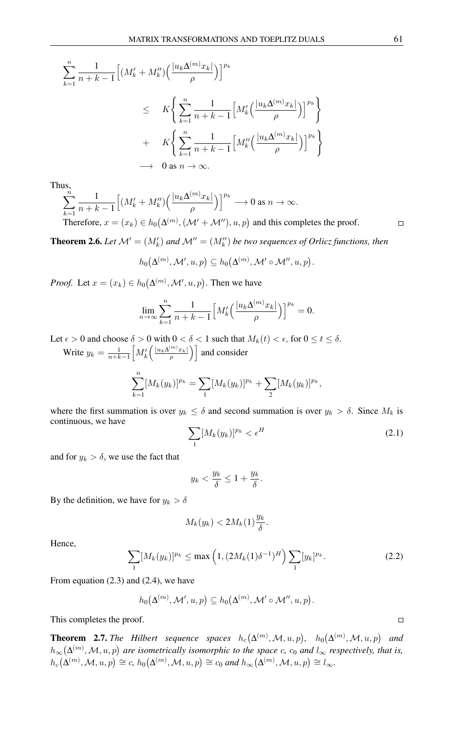$$
\sum_{k=1}^{n} \frac{1}{n+k-1} \Big[ (M'_{k} + M''_{k}) \Big( \frac{|u_{k} \Delta^{(m)} x_{k}|}{\rho} \Big) \Big]^{p_{k}}
$$
  
\n
$$
\leq K \Big\{ \sum_{k=1}^{n} \frac{1}{n+k-1} \Big[ M'_{k} \Big( \frac{|u_{k} \Delta^{(m)} x_{k}|}{\rho} \Big) \Big]^{p_{k}} \Big\}
$$
  
\n
$$
+ K \Big\{ \sum_{k=1}^{n} \frac{1}{n+k-1} \Big[ M''_{k} \Big( \frac{|u_{k} \Delta^{(m)} x_{k}|}{\rho} \Big) \Big]^{p_{k}} \Big\}
$$
  
\n
$$
\longrightarrow 0 \text{ as } n \to \infty.
$$

Thus,

$$
\sum_{k=1}^{n} \frac{1}{n+k-1} \Big[ \big(M'_k + M''_k\big) \Big(\frac{|u_k \Delta^{(m)} x_k|}{\rho}\Big) \Big]^{p_k} \longrightarrow 0 \text{ as } n \to \infty.
$$
  
Therefore,  $x = (x_k) \in h_0(\Delta^{(m)}, (\mathcal{M}' + \mathcal{M}''), u, p)$  and this completes the proof.

**Theorem 2.6.** Let  $\mathcal{M}' = (M'_k)$  and  $\mathcal{M}'' = (M''_k)$  be two sequences of Orlicz functions, then

$$
h_0(\Delta^{(m)}, \mathcal{M}', u, p) \subseteq h_0(\Delta^{(m)}, \mathcal{M}' \circ \mathcal{M}'', u, p).
$$

*Proof.* Let  $x = (x_k) \in h_0(\Delta^{(m)}, \mathcal{M}', u, p)$ . Then we have

$$
\lim_{n \to \infty} \sum_{k=1}^{n} \frac{1}{n+k-1} \Big[ M'_k \Big( \frac{|u_k \Delta^{(m)} x_k|}{\rho} \Big) \Big]^{p_k} = 0.
$$

Let  $\epsilon > 0$  and choose  $\delta > 0$  with  $0 < \delta < 1$  such that  $M_k(t) < \epsilon$ , for  $0 \le t \le \delta$ . Write  $y_k = \frac{1}{n+k-1} \left[ M'_k \left( \frac{|u_k \Delta^{(m)} x_k|}{\rho} \right) \right]$  and consider

$$
\sum_{k=1}^n [M_k(y_k)]^{p_k} = \sum_{1} [M_k(y_k)]^{p_k} + \sum_{2} [M_k(y_k)]^{p_k},
$$

where the first summation is over  $y_k \le \delta$  and second summation is over  $y_k > \delta$ . Since  $M_k$  is continuous, we have

$$
\sum_{1} [M_k(y_k)]^{p_k} < \epsilon^H \tag{2.1}
$$

and for  $y_k > \delta$ , we use the fact that

$$
y_k < \frac{y_k}{\delta} \le 1 + \frac{y_k}{\delta}.
$$

By the definition, we have for  $y_k > \delta$ 

$$
M_k(y_k) < 2M_k(1)\frac{y_k}{\delta}.
$$

Hence,

$$
\sum_{1} [M_k(y_k)]^{p_k} \le \max\left(1, (2M_k(1)\delta^{-1})^H\right) \sum_{1} [y_k]^{p_k}.
$$
 (2.2)

From equation (2.3) and (2.4), we have

$$
h_0(\Delta^{(m)}, \mathcal{M}', u, p) \subseteq h_0(\Delta^{(m)}, \mathcal{M}' \circ \mathcal{M}'', u, p).
$$

This completes the proof.

**Theorem 2.7.** The Hilbert sequence spaces  $h_c(\Delta^{(m)}, M, u, p)$ ,  $h_0(\Delta^{(m)}, M, u, p)$  and  $h_{\infty}(\Delta^{(m)}, M, u, p)$  are isometrically isomorphic to the space c,  $c_0$  and  $l_{\infty}$  respectively, that is,  $h_c(\Delta^{(m)}, \mathcal{M}, u, p) \cong c, h_0(\Delta^{(m)}, \mathcal{M}, u, p) \cong c_0 \text{ and } h_\infty(\Delta^{(m)}, \mathcal{M}, u, p) \cong l_\infty.$ 

 $\Box$ 

 $\Box$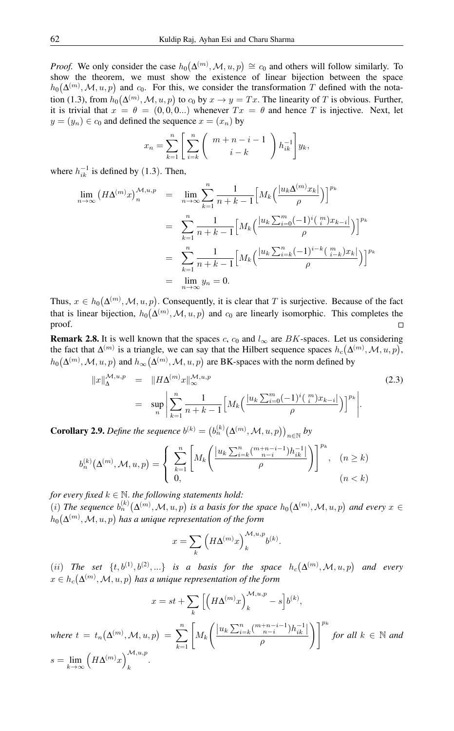*Proof.* We only consider the case  $h_0(\Delta^{(m)}, M, u, p) \cong c_0$  and others will follow similarly. To show the theorem, we must show the existence of linear bijection between the space  $h_0(\Delta^{(m)}, M, u, p)$  and  $c_0$ . For this, we consider the transformation T defined with the notation (1.3), from  $h_0(\Delta^{(m)}, M, u, p)$  to  $c_0$  by  $x \to y = Tx$ . The linearity of T is obvious. Further, it is trivial that  $x = \theta = (0, 0, 0, \dots)$  whenever  $Tx = \theta$  and hence T is injective. Next, let  $y = (y_n) \in c_0$  and defined the sequence  $x = (x_n)$  by

$$
x_n = \sum_{k=1}^n \left[ \sum_{i=k}^n \binom{m+n-i-1}{i-k} h_{ik}^{-1} \right] y_k,
$$

where  $h_{ik}^{-1}$  is defined by (1.3). Then,

$$
\lim_{n \to \infty} (H\Delta^{(m)}x)_n^{\mathcal{M},u,p} = \lim_{n \to \infty} \sum_{k=1}^n \frac{1}{n+k-1} \Big[ M_k \Big( \frac{|u_k \Delta^{(m)} x_k|}{\rho} \Big) \Big]^{p_k}
$$
  

$$
= \sum_{k=1}^n \frac{1}{n+k-1} \Big[ M_k \Big( \frac{|u_k \sum_{i=0}^m (-1)^i \binom{m}{i} x_{k-i}}{\rho} \Big) \Big]^{p_k}
$$
  

$$
= \sum_{k=1}^n \frac{1}{n+k-1} \Big[ M_k \Big( \frac{|u_k \sum_{i=k}^n (-1)^{i-k} \binom{m}{i-k} x_k|}{\rho} \Big) \Big]^{p_k}
$$
  

$$
= \lim_{n \to \infty} y_n = 0.
$$

Thus,  $x \in h_0(\Delta^{(m)}, M, u, p)$ . Consequently, it is clear that T is surjective. Because of the fact that is linear bijection,  $h_0(\Delta^{(m)}, \mathcal{M}, u, p)$  and  $c_0$  are linearly isomorphic. This completes the proof.  $\Box$ 

**Remark 2.8.** It is well known that the spaces c,  $c_0$  and  $l_{\infty}$  are BK-spaces. Let us considering the fact that  $\Delta^{(m)}$  is a triangle, we can say that the Hilbert sequence spaces  $h_c(\Delta^{(m)}, M, u, p)$ ,  $h_0(\Delta^{(m)}, M, u, p)$  and  $h_{\infty}(\Delta^{(m)}, M, u, p)$  are BK-spaces with the norm defined by

$$
||x||_{\Delta}^{\mathcal{M},u,p} = ||H\Delta^{(m)}x||_{\infty}^{\mathcal{M},u,p}
$$
  
= 
$$
\sup_{n} \left| \sum_{k=1}^{n} \frac{1}{n+k-1} \left[ M_{k} \left( \frac{|u_{k} \sum_{i=0}^{m} (-1)^{i} (\frac{m}{i}) x_{k-i} |}{\rho} \right) \right]^{p_{k}} \right|.
$$
 (2.3)

**Corollary 2.9.** *Define the sequence*  $b^{(k)} = (b_n^{(k)}(\Delta^{(m)}, M, u, p))_{n \in \mathbb{N}}$  by

$$
b_n^{(k)}(\Delta^{(m)}, \mathcal{M}, u, p) = \left\{ \begin{array}{l} \displaystyle\sum_{k=1}^n \left[ M_k \Bigg( \frac{\left| u_k \sum_{i=k}^n \binom{m+n-i-1}{n-i} h_{ik}^{-1} \right| }{\rho} \Bigg) \right]^{p_k}, & (n \geq k) \\ 0, & (n < k) \end{array} \right.
$$

*for every fixed*  $k \in \mathbb{N}$ *. the following statements hold:* 

(i) The sequence  $b_n^{(k)}(\Delta^{(m)}, \mathcal{M}, u, p)$  is a basis for the space  $h_0(\Delta^{(m)}, \mathcal{M}, u, p)$  and every  $x \in$  $h_0\big(\Delta^{(m)},\mathcal{M}, u, p\big)$  has a unique representation of the form

$$
x = \sum_{k} \left( H\Delta^{(m)} x \right)_{k}^{\mathcal{M}, u, p} b^{(k)}.
$$

(*ii*) The set  $\{t, b^{(1)}, b^{(2)}, ...\}$  is a basis for the space  $h_c(\Delta^{(m)}, M, u, p)$  and every  $x\in h_c\big(\Delta^{(m)},\mathcal{M},u,p\big)$  has a unique representation of the form

$$
x = st + \sum_{k} \left[ \left( H\Delta^{(m)} x \right)_{k}^{\mathcal{M},u,p} - s \right] b^{(k)},
$$
  
\nwhere  $t = t_n(\Delta^{(m)}, \mathcal{M}, u, p) = \sum_{k=1}^{n} \left[ M_k \left( \frac{|u_k \sum_{i=k}^{n} \binom{m+n-i-1}{n-i} h_{ik}^{-1}|}{\rho} \right) \right]^{p_k}$  for all  $k \in \mathbb{N}$  and  
\n $s = \lim_{k \to \infty} \left( H\Delta^{(m)} x \right)_{k}^{\mathcal{M},u,p}.$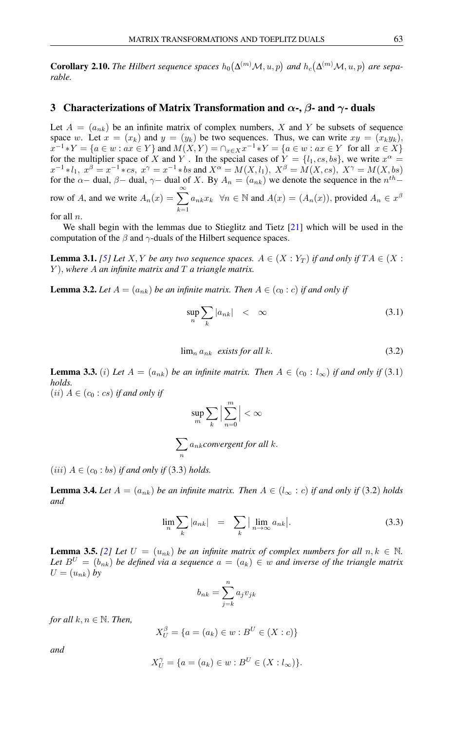**Corollary 2.10.** The Hilbert sequence spaces  $h_0(\Delta^{(m)}\mathcal{M}, u, p)$  and  $h_c(\Delta^{(m)}\mathcal{M}, u, p)$  are sepa*rable.*

## 3 Characterizations of Matrix Transformation and  $\alpha$ -,  $\beta$ - and  $\gamma$ - duals

Let  $A = (a_{nk})$  be an infinite matrix of complex numbers, X and Y be subsets of sequence space w. Let  $x = (x_k)$  and  $y = (y_k)$  be two sequences. Thus, we can write  $xy = (x_ky_k)$ ,  $x^{-1}*Y = \{a \in w : ax \in Y\}$  and  $M(X,Y) = \cap_{x \in X} x^{-1}*Y = \{a \in w : ax \in Y \text{ for all } x \in X\}$ for the multiplier space of X and Y. In the special cases of  $Y = \{l_1, cs, bs\}$ , we write  $x^{\alpha} =$  $x^{-1} * l_1, x^{\beta} = x^{-1} * cs, x^{\gamma} = x^{-1} * bs$  and  $X^{\alpha} = M(X, l_1), X^{\beta} = M(X, cs), X^{\gamma} = M(X, bs)$ for the  $\alpha-$  dual,  $\beta-$  dual,  $\gamma-$  dual of X. By  $A_n = (a_{nk})$  we denote the sequence in the  $n^{th}$ row of A, and we write  $A_n(x) = \sum_{n=0}^{\infty}$  $k=1$  $a_{nk}x_k \forall n \in \mathbb{N}$  and  $A(x) = (A_n(x))$ , provided  $A_n \in x^{\beta}$ 

for all n.

We shall begin with the lemmas due to Stieglitz and Tietz [\[21\]](#page-13-10) which will be used in the computation of the  $\beta$  and  $\gamma$ -duals of the Hilbert sequence spaces.

**Lemma 3.1.** *[\[5\]](#page-12-6)* Let *X*, *Y be any two sequence spaces.*  $A \in (X : Y_T)$  *if and only if*  $TA \in (X : Y_T)$ Y ), *where* A *an infinite matrix and* T *a triangle matrix.*

**Lemma 3.2.** Let  $A = (a_{nk})$  be an infinite matrix. Then  $A \in (c_0 : c)$  if and only if

$$
\sup_{n} \sum_{k} |a_{nk}| \leq \infty \tag{3.1}
$$

 $\lim_{n \to \infty} a_{nk}$  *exists for all k.* (3.2)

**Lemma 3.3.** (i) Let  $A = (a_{nk})$  be an infinite matrix. Then  $A \in (c_0 : l_\infty)$  if and only if (3.1) *holds.*  $(ii)$   $A \in (c_0 : cs)$  *if and only if* 

$$
\sup_m \sum_k \Big| \sum_{n=0}^m \Big| < \infty
$$

$$
\sum_n a_{nk}
$$
 convergent for all  $k$ .

 $(iii)$   $A \in (c_0 : bs)$  *if and only if* (3.3) *holds.* 

**Lemma 3.4.** Let  $A = (a_{nk})$  be an infinite matrix. Then  $A \in (l_{\infty} : c)$  if and only if (3.2) holds *and*

$$
\lim_{n} \sum_{k} |a_{nk}| = \sum_{k} \left| \lim_{n \to \infty} a_{nk} \right|.
$$
 (3.3)

**Lemma 3.5.** [\[2\]](#page-12-7) Let  $U = (u_{nk})$  be an infinite matrix of complex numbers for all  $n, k \in \mathbb{N}$ . *Let*  $B^U = (b_{nk})$  *be defined via a sequence*  $a = (a_k) \in w$  *and inverse of the triangle matrix*  $U = (u_{nk})$  by

$$
b_{nk} = \sum_{j=k}^{n} a_j v_{jk}
$$

*for all*  $k, n \in \mathbb{N}$ *. Then,* 

$$
X_U^{\beta} = \{ a = (a_k) \in w : B^U \in (X : c) \}
$$

*and*

$$
X_U^{\gamma} = \{ a = (a_k) \in w : B^U \in (X : l_{\infty}) \}.
$$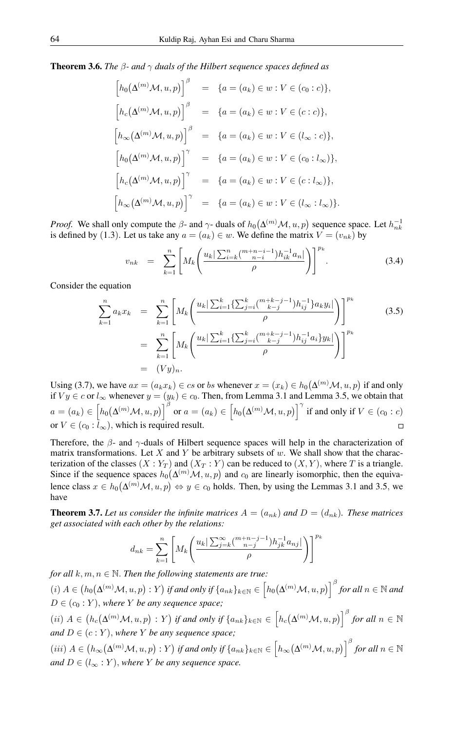Theorem 3.6. *The* β*- and* γ *duals of the Hilbert sequence spaces defined as*

$$
\begin{aligned}\n\left[h_0(\Delta^{(m)}\mathcal{M}, u, p)\right]^\beta &= \{a = (a_k) \in w : V \in (c_0 : c)\}, \\
\left[h_c(\Delta^{(m)}\mathcal{M}, u, p)\right]^\beta &= \{a = (a_k) \in w : V \in (c : c)\}, \\
\left[h_\infty(\Delta^{(m)}\mathcal{M}, u, p)\right]^\beta &= \{a = (a_k) \in w : V \in (l_\infty : c)\}, \\
\left[h_0(\Delta^{(m)}\mathcal{M}, u, p)\right]^\gamma &= \{a = (a_k) \in w : V \in (c_0 : l_\infty)\}, \\
\left[h_c(\Delta^{(m)}\mathcal{M}, u, p)\right]^\gamma &= \{a = (a_k) \in w : V \in (c : l_\infty)\}, \\
\left[h_\infty(\Delta^{(m)}\mathcal{M}, u, p)\right]^\gamma &= \{a = (a_k) \in w : V \in (l_\infty : l_\infty)\}.\n\end{aligned}
$$

*Proof.* We shall only compute the  $\beta$ - and  $\gamma$ - duals of  $h_0(\Delta^{(m)}\mathcal{M}, u, p)$  sequence space. Let  $h_{nk}^{-1}$ is defined by (1.3). Let us take any  $a = (a_k) \in w$ . We define the matrix  $V = (v_{nk})$  by

$$
v_{nk} = \sum_{k=1}^{n} \left[ M_k \left( \frac{u_k \left| \sum_{i=k}^{n} \binom{m+n-i-1}{n-i} h_{ik}^{-1} a_n \right|}{\rho} \right) \right]^{p_k} . \tag{3.4}
$$

Consider the equation

$$
\sum_{k=1}^{n} a_k x_k = \sum_{k=1}^{n} \left[ M_k \left( \frac{u_k \left| \sum_{i=1}^k \{ \sum_{j=i}^k {m+k-j-1 \choose k-j} h_{ij}^{-1} \} a_k y_i \right|}{\rho} \right) \right]^{p_k}
$$
\n
$$
= \sum_{k=1}^{n} \left[ M_k \left( \frac{u_k \left| \sum_{i=1}^k \{ \sum_{j=i}^k {m+k-j-1 \choose k-j} h_{ij}^{-1} a_i \} y_k \right|}{\rho} \right) \right]^{p_k}
$$
\n
$$
= (Vy)_n.
$$
\n(3.5)

Using (3.7), we have  $ax = (a_k x_k) \in cs$  or bs whenever  $x = (x_k) \in h_0(\Delta^{(m)}\mathcal{M}, u, p)$  if and only if  $Vy \in c$  or  $l_{\infty}$  whenever  $y = (y_k) \in c_0$ . Then, from Lemma 3.1 and Lemma 3.5, we obtain that  $a=(a_k)\in \Big[ h_0\big(\Delta^{(m)}{\cal M},u,p\big)\Big]^{\beta} \text{ or } a=(a_k)\in \Big[ h_0\big(\Delta^{(m)}{\cal M},u,p\big)\Big]^{\gamma} \text{ if and only if } V\in (c_0:c)$ or  $V \in (c_0 : \tilde{l}_{\infty})$ , which is required result.

Therefore, the  $\beta$ - and  $\gamma$ -duals of Hilbert sequence spaces will help in the characterization of matrix transformations. Let X and Y be arbitrary subsets of  $w$ . We shall show that the characterization of the classes  $(X : Y_T)$  and  $(X_T : Y)$  can be reduced to  $(X, Y)$ , where T is a triangle. Since if the sequence spaces  $h_0(\Delta^{(m)}\mathcal{M}, u, p)$  and  $c_0$  are linearly isomorphic, then the equivalence class  $x \in h_0(\Delta^{(m)}\mathcal{M}, u, p) \Leftrightarrow y \in c_0$  holds. Then, by using the Lemmas 3.1 and 3.5, we have

**Theorem 3.7.** Let us consider the infinite matrices  $A = (a_{nk})$  and  $D = (d_{nk})$ . These matrices *get associated with each other by the relations:*

$$
d_{nk} = \sum_{k=1}^{n} \left[ M_k \left( \frac{u_k \left| \sum_{j=k}^{\infty} {m+n-j-1 \choose n-j} h_{jk}^{-1} a_{nj} \right|}{\rho} \right) \right]^{p_k}
$$

*for all*  $k, m, n \in \mathbb{N}$ . *Then the following statements are true:*  $\mathcal{L}(i)$   $A \in (h_0(\Delta^{(m)}\mathcal{M}, u, p) : Y)$  if and only if  $\{a_{nk}\}_{k \in \mathbb{N}} \in (\overline{h_0(\Delta^{(m)}\mathcal{M}, u, p)})^{\beta}$  for all  $n \in \mathbb{N}$  and  $D \in (c_0 : Y)$ , where *Y* be any sequence space;  $(iii)$   $A \in (h_c(\Delta^{(m)}\mathcal{M}, u, p) : Y)$  if and only if  $\{a_{nk}\}_{k \in \mathbb{N}} \in (h_c(\Delta^{(m)}\mathcal{M}, u, p))^{\beta}$  for all  $n \in \mathbb{N}$ *and*  $D \in (c : Y)$ *, where Y be any sequence space;*  $(iii)$   $A \in (h_{\infty}(\Delta^{(m)}\mathcal{M}, u, p) : Y)$  if and only if  $\{a_{nk}\}_{k \in \mathbb{N}} \in (\overline{h_{\infty}}(\Delta^{(m)}\mathcal{M}, u, p)) \Big|$ <sup> $\beta$ </sup> for all  $n \in \mathbb{N}$ *and*  $D \in (l_{\infty} : Y)$ , *where Y be any sequence space.*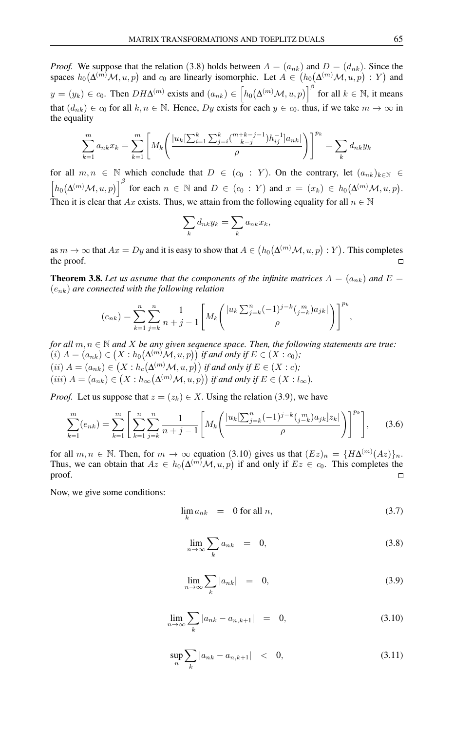*Proof.* We suppose that the relation (3.8) holds between  $A = (a_{nk})$  and  $D = (d_{nk})$ . Since the spaces  $h_0(\Delta^{(m)}\mathcal{M}, u, p)$  and  $c_0$  are linearly isomorphic. Let  $A \in (h_0(\Delta^{(m)}\mathcal{M}, u, p) : Y)$  and  $y = (y_k) \in c_0$ . Then  $DH\Delta^{(m)}$  exists and  $(a_{nk}) \in \left[ h_0(\Delta^{(m)}\mathcal{M}, u, p) \right]^{\beta}$  for all  $k \in \mathbb{N}$ , it means that  $(d_{nk}) \in c_0$  for all  $k, n \in \mathbb{N}$ . Hence, Dy exists for each  $y \in c_0$ . thus, if we take  $m \to \infty$  in the equality

$$
\sum_{k=1}^{m} a_{nk} x_k = \sum_{k=1}^{m} \left[ M_k \left( \frac{|u_k[\sum_{i=1}^k \sum_{j=i}^k \binom{m+k-j-1}{k-j} h_{ij}^{-1}] a_{nk}|}{\rho} \right) \right]^{p_k} = \sum_k d_{nk} y_k
$$

for all  $m, n \in \mathbb{N}$  which conclude that  $D \in (c_0 : Y)$ . On the contrary, let  $(a_{nk})_{k \in \mathbb{N}} \in$  $\left[h_0(\Delta^{(m)}\mathcal{M}, u, p)\right]^{\beta}$  for each  $n \in \mathbb{N}$  and  $D \in (c_0 : Y)$  and  $x = (x_k) \in h_0(\Delta^{(m)}\mathcal{M}, u, p)$ . Then it is clear that Ax exists. Thus, we attain from the following equality for all  $n \in \mathbb{N}$ 

$$
\sum_{k} d_{nk} y_k = \sum_{k} a_{nk} x_k,
$$

as  $m\to\infty$  that  $Ax=Dy$  and it is easy to show that  $A\in \big(h_0\big(\Delta^{(m)}\mathcal{M},u,p\big):Y\big).$  This completes the proof.

**Theorem 3.8.** Let us assume that the components of the infinite matrices  $A = (a_{nk})$  and  $E =$ (enk) *are connected with the following relation*

$$
(e_{nk}) = \sum_{k=1}^{n} \sum_{j=k}^{n} \frac{1}{n+j-1} \left[ M_k \left( \frac{|u_k \sum_{j=k}^{n} (-1)^{j-k} \binom{m}{j-k} a_{jk}|}{\rho} \right) \right]^{p_k},
$$

*for all*  $m, n \in \mathbb{N}$  *and X be any given sequence space. Then, the following statements are true:*  $(i)$   $A = (a_{nk}) \in (X : h_0(\Delta^{(m)}\mathcal{M}, u, p))$  *if and only if*  $E \in (X : c_0)$ *;*  $(ii)$   $A = (a_{nk}) \in (X : h_c(\Delta^{(m)}\mathcal{M}, u, p))$  *if and only if*  $E \in (X : c)$ *;*  $(iii)$   $A = (a_{nk}) \in (X : h_{\infty}(\Delta^{(m)}\mathcal{M}, u, p))$  if and only if  $E \in (X : l_{\infty})$ .

*Proof.* Let us suppose that  $z = (z_k) \in X$ . Using the relation (3.9), we have

$$
\sum_{k=1}^{m} (e_{nk}) = \sum_{k=1}^{m} \left[ \sum_{k=1}^{n} \sum_{j=k}^{n} \frac{1}{n+j-1} \left[ M_k \left( \frac{|u_k| \sum_{j=k}^{n} (-1)^{j-k} \binom{m}{j-k} a_{jk} |z_k|}{\rho} \right) \right]^{p_k} \right], \quad (3.6)
$$

for all  $m, n \in \mathbb{N}$ . Then, for  $m \to \infty$  equation (3.10) gives us that  $(Ez)_n = {H\Delta^{(m)}(Az)}_n$ . Thus, we can obtain that  $Az \in h_0(\Delta^{(m)}\mathcal{M}, u, p)$  if and only if  $Ez \in c_0$ . This completes the proof.  $\Box$ 

Now, we give some conditions:

$$
\lim_{k} a_{nk} = 0 \text{ for all } n,
$$
\n(3.7)

$$
\lim_{n \to \infty} \sum_{k} a_{nk} = 0, \tag{3.8}
$$

$$
\lim_{n \to \infty} \sum_{k} |a_{nk}| = 0,
$$
\n(3.9)

$$
\lim_{n \to \infty} \sum_{k} |a_{nk} - a_{n,k+1}| = 0,
$$
\n(3.10)

$$
\sup_{n} \sum_{k} |a_{nk} - a_{n,k+1}| \quad < \quad 0,\tag{3.11}
$$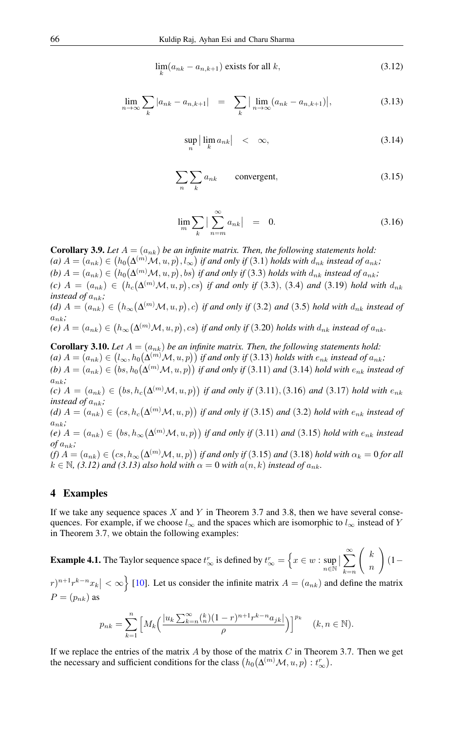$$
\lim_{k}(a_{nk} - a_{n,k+1}) \text{ exists for all } k,
$$
\n(3.12)

$$
\lim_{n \to \infty} \sum_{k} |a_{nk} - a_{n,k+1}| = \sum_{k} \left| \lim_{n \to \infty} (a_{nk} - a_{n,k+1}) \right|, \tag{3.13}
$$

$$
\sup_{n} |\lim_{k} a_{nk}| < \infty,\tag{3.14}
$$

$$
\sum_{n} \sum_{k} a_{nk} \qquad \text{convergent}, \tag{3.15}
$$

$$
\lim_{m} \sum_{k} \left| \sum_{n=m}^{\infty} a_{nk} \right| = 0. \tag{3.16}
$$

**Corollary 3.9.** Let  $A = (a_{nk})$  be an infinite matrix. Then, the following statements hold:  $p(A)$   $A = (a_{nk}) \in (h_0(\Delta^{(m)}\mathcal{M}, u, p), l_\infty)$  if and only if  $(3.1)$  holds with  $d_{nk}$  instead of  $a_{nk}$ ; (b)  $A = (a_{nk}) \in (h_0(\Delta^{(m)}\mathcal{M}, u, p), bs)$  if and only if (3.3) holds with  $d_{nk}$  instead of  $a_{nk}$ ;  $\Delta(t)$  A =  $(a_{nk})$  ∈  $(h_c(\Delta^{(m)}\mathcal{M}, u, p), cs)$  *if and only if* (3.3), (3.4) *and* (3.19) *hold with*  $d_{nk}$ *instead of*  $a_{nk}$ ;  $(d)$   $A = (a_{nk}) \in (h_{\infty}(\Delta^{(m)}\mathcal{M}, u, p), c)$  if and only if (3.2) and (3.5) hold with  $d_{nk}$  instead of  $a_{nk}$ ;  $\mathcal{L}(e)$   $A = (a_{nk}) \in \big( h_\infty\big(\Delta^{(m)}\mathcal{M}, u, p\big), cs \big)$  if and only if  $(3.20)$  holds with  $d_{nk}$  instead of  $a_{nk}$ .

**Corollary 3.10.** *Let*  $A = (a_{nk})$  *be an infinite matrix. Then, the following statements hold:*  $p(A)$   $A = (a_{nk}) \in (l_{\infty}, h_0(\Delta^{(m)}\mathcal{M}, u, p))$  if and only if  $(3.13)$  holds with  $e_{nk}$  instead of  $a_{nk}$ ;  $b)$   $A = (a_{nk}) \in (bs, h_0(\Delta^{(m)}\mathcal{M}, u, p))$  if and only if  $(3.11)$  and  $(3.14)$  hold with  $e_{nk}$  instead of  $a_{nk}$ ;  $(a) A = (a_{nk}) ∈ (bs, h_c(Δ^{(m)}M, u, p))$  *if and only if* (3.11), (3.16) *and* (3.17) *hold with e*<sub>nk</sub> *instead of*  $a_{nk}$ ; (d)  $A = (a_{nk}) \in (cs, h_c(\Delta^{(m)}\mathcal{M}, u, p))$  if and only if (3.15) and (3.2) hold with  $e_{nk}$  instead of  $a_{nk}$ ;  $\phi(e)$   $A = (a_{nk}) \in (bs, h_{\infty}(\Delta^{(m)}\mathcal{M}, u, p))$  if and only if (3.11) and (3.15) hold with  $e_{nk}$  instead  $of a_{nk}$ ; (f)  $A=(a_{nk})\in \bigl( cs,h_\infty\bigl(\Delta^{(m)}\mathcal{M},u,p\bigr)\bigr)$  if and only if  $(3.15)$  and  $(3.18)$  hold with  $\alpha_k=0$  for all  $k \in \mathbb{N}$ , (3.12) and (3.13) also hold with  $\alpha = 0$  with  $a(n, k)$  instead of  $a_{nk}$ .

### 4 Examples

If we take any sequence spaces  $X$  and  $Y$  in Theorem 3.7 and 3.8, then we have several consequences. For example, if we choose  $l_{\infty}$  and the spaces which are isomorphic to  $l_{\infty}$  instead of Y in Theorem 3.7, we obtain the following examples:

**Example 4.1.** The Taylor sequence space  $t_{\infty}^r$  is defined by  $t_{\infty}^r = \left\{ x \in w : \sup_{n \in \mathbb{N}} \right\}$  $\big| \sum_{k=n}^{\infty}$  $\left( k \right)$ n  $\setminus$  $(1 (r)^{n+1}r^{k-n}x_k$   $|<\infty$  [\[10\]](#page-12-8). Let us consider the infinite matrix  $A=(a_{nk})$  and define the matrix  $P=(p_{nk})$  as

$$
p_{nk} = \sum_{k=1}^{n} \left[ M_k \left( \frac{|u_k \sum_{k=n}^{\infty} {k \choose n} (1-r)^{n+1} r^{k-n} a_{jk}|}{\rho} \right) \right]^{p_k} \quad (k, n \in \mathbb{N}).
$$

If we replace the entries of the matrix  $A$  by those of the matrix  $C$  in Theorem 3.7. Then we get the necessary and sufficient conditions for the class  $(h_0(\Delta^{(m)}\mathcal{M}, u, p): t_{\infty}^r)$ .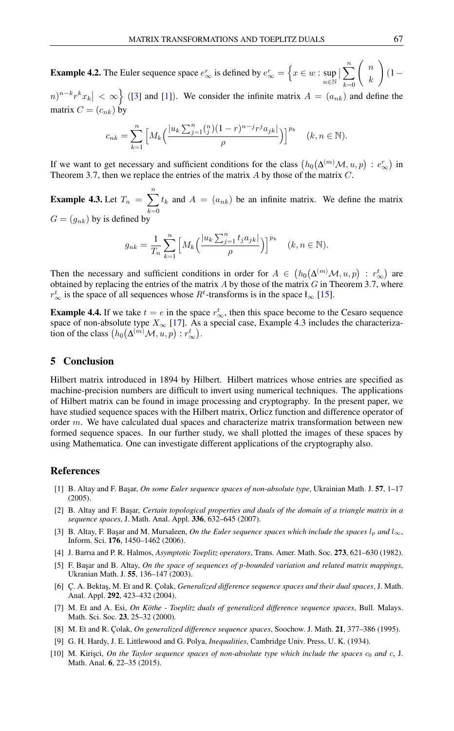**Example 4.2.** The Euler sequence space  $e_{\infty}^r$  is defined by  $e_{\infty}^r = \left\{ x \in w : \sup_{n \in \mathbb{N}} \right\}$  $\big|\sum_{k=0}^n$  $\left( n \right)$ k  $\setminus$  $(1 -$ 

 $(n)^{n-k}r^kx_k$   $|<\infty$   $\Big\}$  ([\[3\]](#page-12-9) and [\[1\]](#page-12-10)). We consider the infinite matrix  $A = (a_{nk})$  and define the matrix  $C = (c_{nk})$  by

$$
c_{nk} = \sum_{k=1}^n \left[ M_k \left( \frac{|u_k \sum_{j=1}^n \binom{n}{j} (1-r)^{n-j} r^j a_{jk}|}{\rho} \right) \right]^{p_k} \quad (k, n \in \mathbb{N}).
$$

If we want to get necessary and sufficient conditions for the class  $(h_0(\Delta^{(m)}\mathcal{M}, u, p) : e_{\infty}^r)$  in Theorem 3.7, then we replace the entries of the matrix A by those of the matrix C.

**Example 4.3.** Let  $T_n = \sum_{n=1}^{n}$  $k=0$  $t_k$  and  $A = (a_{nk})$  be an infinite matrix. We define the matrix  $G = (g_{nk})$  by is defined by

$$
g_{nk} = \frac{1}{T_n} \sum_{k=1}^n \left[ M_k \left( \frac{|u_k \sum_{j=1}^n t_j a_{jk}|}{\rho} \right) \right]^{p_k} \quad (k, n \in \mathbb{N}).
$$

Then the necessary and sufficient conditions in order for  $A \in (h_0(\Delta^{(m)}\mathcal{M}, u, p) : r^t_{\infty})$  are obtained by replacing the entries of the matrix  $A$  by those of the matrix  $G$  in Theorem 3.7, where  $r^t_{\infty}$  is the space of all sequences whose  $R^t$ -transforms is in the space  $\mathfrak{t}_{\infty}$  [\[15\]](#page-13-4).

**Example 4.4.** If we take  $t = e$  in the space  $r^t_{\infty}$ , then this space become to the Cesaro sequence space of non-absolute type  $X_{\infty}$  [\[17\]](#page-13-11). As a special case, Example 4.3 includes the characterization of the class  $(h_0(\Delta^{(m)}\mathcal{M}, u, p) : r^t_\infty).$ 

#### 5 Conclusion

Hilbert matrix introduced in 1894 by Hilbert. Hilbert matrices whose entries are specified as machine-precision numbers are difficult to invert using numerical techniques. The applications of Hilbert matrix can be found in image processing and cryptography. In the present paper, we have studied sequence spaces with the Hilbert matrix, Orlicz function and difference operator of order m. We have calculated dual spaces and characterize matrix transformation between new formed sequence spaces. In our further study, we shall plotted the images of these spaces by using Mathematica. One can investigate different applications of the cryptography also.

#### <span id="page-12-0"></span>References

- <span id="page-12-10"></span>[1] B. Altay and F. Ba¸sar, *On some Euler sequence spaces of non-absolute type*, Ukrainian Math. J. 57, 1–17 (2005).
- <span id="page-12-7"></span>[2] B. Altay and F. Ba¸sar, *Certain topological properties and duals of the domain of a triangle matrix in a sequence spaces*, J. Math. Anal. Appl. 336, 632–645 (2007).
- <span id="page-12-9"></span>[3] B. Altay, F. Başar and M. Mursaleen, *On the Euler sequence spaces which include the spaces*  $l_p$  *and*  $l_\infty$ , Inform. Sci. 176, 1450–1462 (2006).
- <span id="page-12-1"></span>[4] J. Barrıa and P. R. Halmos, *Asymptotic Toeplitz operators*, Trans. Amer. Math. Soc. 273, 621–630 (1982).
- <span id="page-12-6"></span>[5] F. Başar and B. Altay, *On the space of sequences of p-bounded variation and related matrix mappings*, Ukranian Math. J. 55, 136–147 (2003).
- <span id="page-12-4"></span>[6] Ç. A. Bekta¸s, M. Et and R. Çolak, *Generalized difference sequence spaces and their dual spaces*, J. Math. Anal. Appl. 292, 423–432 (2004).
- <span id="page-12-5"></span>[7] M. Et and A. Esi, *On Köthe - Toeplitz duals of generalized difference sequence spaces*, Bull. Malays. Math. Sci. Soc. 23, 25–32 (2000).
- <span id="page-12-3"></span>[8] M. Et and R. Çolak, *On generalized difference sequence spaces*, Soochow. J. Math. 21, 377–386 (1995).
- <span id="page-12-2"></span>[9] G. H. Hardy, J. E. Littlewood and G. Polya, *Inequalities*, Cambridge Univ. Press, U. K. (1934).
- <span id="page-12-8"></span>[10] M. Kirişci, *On the Taylor sequence spaces of non-absolute type which include the spaces*  $c_0$  *and*  $c$ , J. Math. Anal. 6, 22–35 (2015).